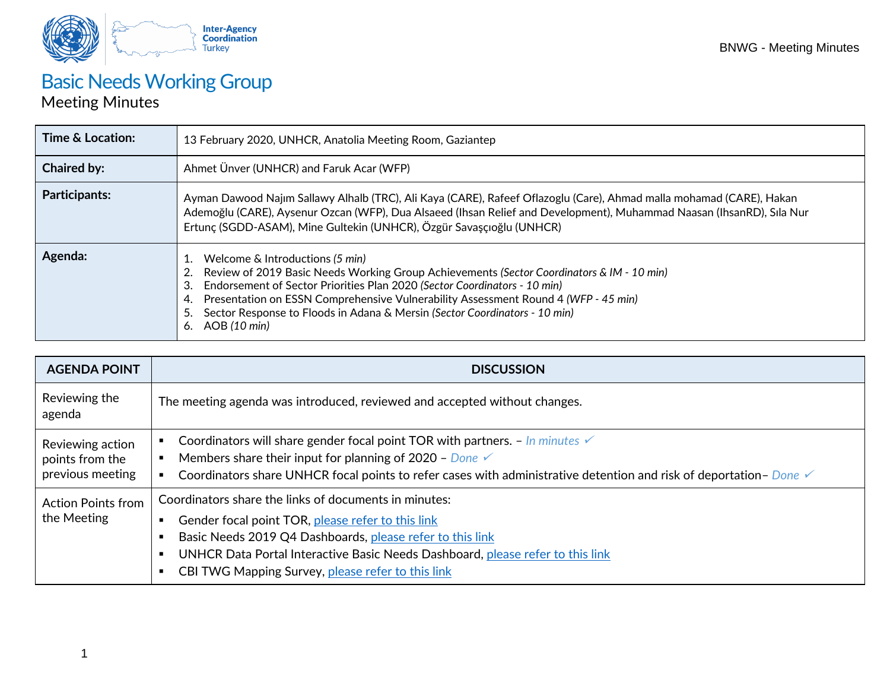

## **Basic Needs Working Group**

## Meeting Minutes

| Time & Location:     | 13 February 2020, UNHCR, Anatolia Meeting Room, Gaziantep                                                                                                                                                                                                                                                                                                                                                                |
|----------------------|--------------------------------------------------------------------------------------------------------------------------------------------------------------------------------------------------------------------------------------------------------------------------------------------------------------------------------------------------------------------------------------------------------------------------|
| <b>Chaired by:</b>   | Ahmet Ünver (UNHCR) and Faruk Acar (WFP)                                                                                                                                                                                                                                                                                                                                                                                 |
| <b>Participants:</b> | Ayman Dawood Najim Sallawy Alhalb (TRC), Ali Kaya (CARE), Rafeef Oflazoglu (Care), Ahmad malla mohamad (CARE), Hakan<br>Ademoğlu (CARE), Aysenur Ozcan (WFP), Dua Alsaeed (Ihsan Relief and Development), Muhammad Naasan (IhsanRD), Sıla Nur<br>Ertunç (SGDD-ASAM), Mine Gultekin (UNHCR), Özgür Savaşçıoğlu (UNHCR)                                                                                                    |
| Agenda:              | 1. Welcome & Introductions (5 min)<br>Review of 2019 Basic Needs Working Group Achievements (Sector Coordinators & IM - 10 min)<br>Endorsement of Sector Priorities Plan 2020 (Sector Coordinators - 10 min)<br>3.<br>Presentation on ESSN Comprehensive Vulnerability Assessment Round 4 (WFP - 45 min)<br>4.<br>Sector Response to Floods in Adana & Mersin (Sector Coordinators - 10 min)<br>5.<br>AOB (10 min)<br>6. |

| <b>AGENDA POINT</b>                                     | <b>DISCUSSION</b>                                                                                                                                                                                                                                                                                                   |
|---------------------------------------------------------|---------------------------------------------------------------------------------------------------------------------------------------------------------------------------------------------------------------------------------------------------------------------------------------------------------------------|
| Reviewing the<br>agenda                                 | The meeting agenda was introduced, reviewed and accepted without changes.                                                                                                                                                                                                                                           |
| Reviewing action<br>points from the<br>previous meeting | Coordinators will share gender focal point TOR with partners. $-$ In minutes $\checkmark$<br>Members share their input for planning of 2020 - Done $\checkmark$<br>Coordinators share UNHCR focal points to refer cases with administrative detention and risk of deportation-Done V                                |
| <b>Action Points from</b><br>the Meeting                | Coordinators share the links of documents in minutes:<br>Gender focal point TOR, please refer to this link<br>٠<br>Basic Needs 2019 Q4 Dashboards, please refer to this link<br>UNHCR Data Portal Interactive Basic Needs Dashboard, please refer to this link<br>CBI TWG Mapping Survey, please refer to this link |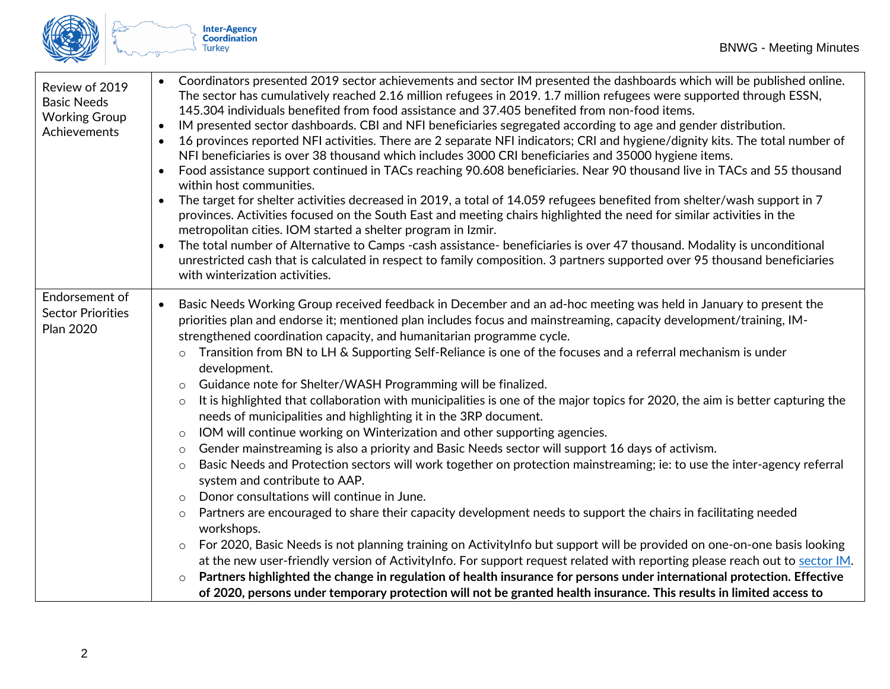

| Review of 2019<br><b>Basic Needs</b><br><b>Working Group</b><br>Achievements | Coordinators presented 2019 sector achievements and sector IM presented the dashboards which will be published online.<br>The sector has cumulatively reached 2.16 million refugees in 2019. 1.7 million refugees were supported through ESSN,<br>145.304 individuals benefited from food assistance and 37.405 benefited from non-food items.<br>IM presented sector dashboards. CBI and NFI beneficiaries segregated according to age and gender distribution.<br>$\bullet$<br>16 provinces reported NFI activities. There are 2 separate NFI indicators; CRI and hygiene/dignity kits. The total number of<br>$\bullet$<br>NFI beneficiaries is over 38 thousand which includes 3000 CRI beneficiaries and 35000 hygiene items.<br>Food assistance support continued in TACs reaching 90.608 beneficiaries. Near 90 thousand live in TACs and 55 thousand<br>$\bullet$<br>within host communities.<br>The target for shelter activities decreased in 2019, a total of 14.059 refugees benefited from shelter/wash support in 7<br>$\bullet$<br>provinces. Activities focused on the South East and meeting chairs highlighted the need for similar activities in the<br>metropolitan cities. IOM started a shelter program in Izmir.<br>The total number of Alternative to Camps -cash assistance- beneficiaries is over 47 thousand. Modality is unconditional<br>$\bullet$<br>unrestricted cash that is calculated in respect to family composition. 3 partners supported over 95 thousand beneficiaries<br>with winterization activities.                                                                                                                                                                                                                                                                                                                                         |
|------------------------------------------------------------------------------|-----------------------------------------------------------------------------------------------------------------------------------------------------------------------------------------------------------------------------------------------------------------------------------------------------------------------------------------------------------------------------------------------------------------------------------------------------------------------------------------------------------------------------------------------------------------------------------------------------------------------------------------------------------------------------------------------------------------------------------------------------------------------------------------------------------------------------------------------------------------------------------------------------------------------------------------------------------------------------------------------------------------------------------------------------------------------------------------------------------------------------------------------------------------------------------------------------------------------------------------------------------------------------------------------------------------------------------------------------------------------------------------------------------------------------------------------------------------------------------------------------------------------------------------------------------------------------------------------------------------------------------------------------------------------------------------------------------------------------------------------------------------------------------------------------------------------------------------------------------------------------------------|
| Endorsement of<br><b>Sector Priorities</b><br><b>Plan 2020</b>               | Basic Needs Working Group received feedback in December and an ad-hoc meeting was held in January to present the<br>$\bullet$<br>priorities plan and endorse it; mentioned plan includes focus and mainstreaming, capacity development/training, IM-<br>strengthened coordination capacity, and humanitarian programme cycle.<br>Transition from BN to LH & Supporting Self-Reliance is one of the focuses and a referral mechanism is under<br>$\circ$<br>development.<br>Guidance note for Shelter/WASH Programming will be finalized.<br>$\circ$<br>It is highlighted that collaboration with municipalities is one of the major topics for 2020, the aim is better capturing the<br>$\circ$<br>needs of municipalities and highlighting it in the 3RP document.<br>IOM will continue working on Winterization and other supporting agencies.<br>$\circ$<br>Gender mainstreaming is also a priority and Basic Needs sector will support 16 days of activism.<br>$\circ$<br>Basic Needs and Protection sectors will work together on protection mainstreaming; ie: to use the inter-agency referral<br>$\circ$<br>system and contribute to AAP.<br>Donor consultations will continue in June.<br>$\circ$<br>Partners are encouraged to share their capacity development needs to support the chairs in facilitating needed<br>$\circ$<br>workshops.<br>For 2020, Basic Needs is not planning training on ActivityInfo but support will be provided on one-on-one basis looking<br>$\circ$<br>at the new user-friendly version of ActivityInfo. For support request related with reporting please reach out to sector IM.<br>Partners highlighted the change in regulation of health insurance for persons under international protection. Effective<br>$\circ$<br>of 2020, persons under temporary protection will not be granted health insurance. This results in limited access to |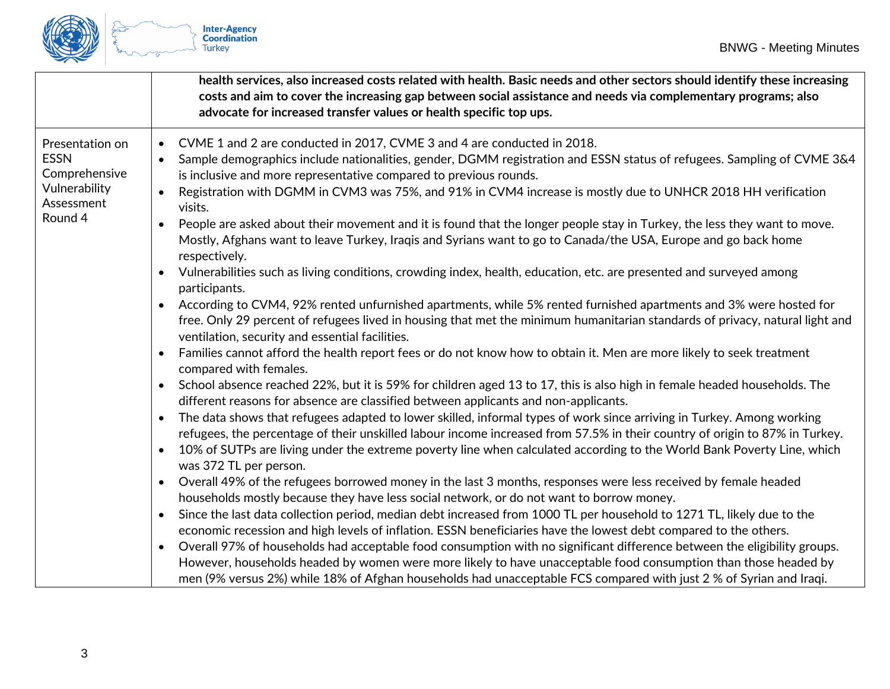

|                                                                                           | health services, also increased costs related with health. Basic needs and other sectors should identify these increasing<br>costs and aim to cover the increasing gap between social assistance and needs via complementary programs; also<br>advocate for increased transfer values or health specific top ups.                                                                                                                                                                                                                                                                                                                                                                                                                                                                                                                                                   |
|-------------------------------------------------------------------------------------------|---------------------------------------------------------------------------------------------------------------------------------------------------------------------------------------------------------------------------------------------------------------------------------------------------------------------------------------------------------------------------------------------------------------------------------------------------------------------------------------------------------------------------------------------------------------------------------------------------------------------------------------------------------------------------------------------------------------------------------------------------------------------------------------------------------------------------------------------------------------------|
| Presentation on<br><b>ESSN</b><br>Comprehensive<br>Vulnerability<br>Assessment<br>Round 4 | CVME 1 and 2 are conducted in 2017, CVME 3 and 4 are conducted in 2018.<br>$\bullet$<br>Sample demographics include nationalities, gender, DGMM registration and ESSN status of refugees. Sampling of CVME 3&4<br>$\bullet$<br>is inclusive and more representative compared to previous rounds.<br>Registration with DGMM in CVM3 was 75%, and 91% in CVM4 increase is mostly due to UNHCR 2018 HH verification<br>$\bullet$<br>visits.<br>People are asked about their movement and it is found that the longer people stay in Turkey, the less they want to move.<br>$\bullet$<br>Mostly, Afghans want to leave Turkey, Iraqis and Syrians want to go to Canada/the USA, Europe and go back home<br>respectively.                                                                                                                                                |
|                                                                                           | Vulnerabilities such as living conditions, crowding index, health, education, etc. are presented and surveyed among<br>participants.<br>According to CVM4, 92% rented unfurnished apartments, while 5% rented furnished apartments and 3% were hosted for<br>$\bullet$<br>free. Only 29 percent of refugees lived in housing that met the minimum humanitarian standards of privacy, natural light and<br>ventilation, security and essential facilities.<br>Families cannot afford the health report fees or do not know how to obtain it. Men are more likely to seek treatment<br>$\bullet$<br>compared with females.                                                                                                                                                                                                                                            |
|                                                                                           | School absence reached 22%, but it is 59% for children aged 13 to 17, this is also high in female headed households. The<br>$\bullet$<br>different reasons for absence are classified between applicants and non-applicants.<br>The data shows that refugees adapted to lower skilled, informal types of work since arriving in Turkey. Among working<br>$\bullet$<br>refugees, the percentage of their unskilled labour income increased from 57.5% in their country of origin to 87% in Turkey.<br>10% of SUTPs are living under the extreme poverty line when calculated according to the World Bank Poverty Line, which<br>$\bullet$<br>was 372 TL per person.                                                                                                                                                                                                  |
|                                                                                           | Overall 49% of the refugees borrowed money in the last 3 months, responses were less received by female headed<br>$\bullet$<br>households mostly because they have less social network, or do not want to borrow money.<br>Since the last data collection period, median debt increased from 1000 TL per household to 1271 TL, likely due to the<br>$\bullet$<br>economic recession and high levels of inflation. ESSN beneficiaries have the lowest debt compared to the others.<br>Overall 97% of households had acceptable food consumption with no significant difference between the eligibility groups.<br>$\bullet$<br>However, households headed by women were more likely to have unacceptable food consumption than those headed by<br>men (9% versus 2%) while 18% of Afghan households had unacceptable FCS compared with just 2 % of Syrian and Iraqi. |